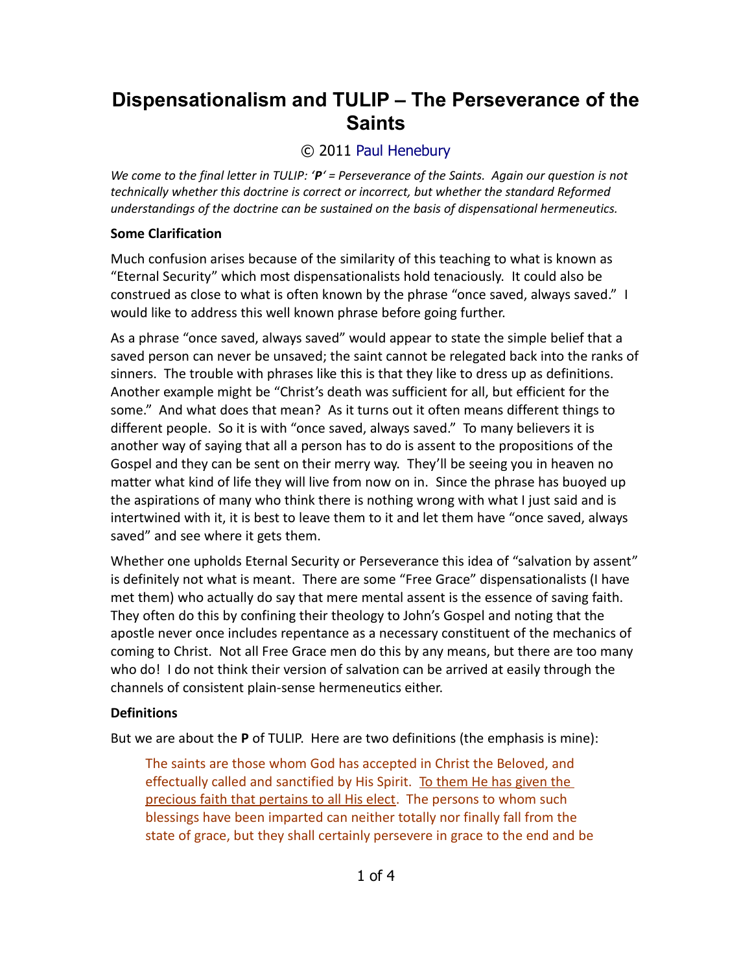# **Dispensationalism and TULIP – The Perseverance of the Saints**

## © 2011 [Paul Henebury](http://www.spiritandtruth.org/id/ph.htm)

*We come to the final letter in TULIP: 'P' = Perseverance of the Saints. Again our question is not technically whether this doctrine is correct or incorrect, but whether the standard Reformed understandings of the doctrine can be sustained on the basis of dispensational hermeneutics.*

#### **Some Clarification**

Much confusion arises because of the similarity of this teaching to what is known as "Eternal Security" which most dispensationalists hold tenaciously. It could also be construed as close to what is often known by the phrase "once saved, always saved." I would like to address this well known phrase before going further.

As a phrase "once saved, always saved" would appear to state the simple belief that a saved person can never be unsaved; the saint cannot be relegated back into the ranks of sinners. The trouble with phrases like this is that they like to dress up as definitions. Another example might be "Christ's death was sufficient for all, but efficient for the some." And what does that mean? As it turns out it often means different things to different people. So it is with "once saved, always saved." To many believers it is another way of saying that all a person has to do is assent to the propositions of the Gospel and they can be sent on their merry way. They'll be seeing you in heaven no matter what kind of life they will live from now on in. Since the phrase has buoyed up the aspirations of many who think there is nothing wrong with what I just said and is intertwined with it, it is best to leave them to it and let them have "once saved, always saved" and see where it gets them.

Whether one upholds Eternal Security or Perseverance this idea of "salvation by assent" is definitely not what is meant. There are some "Free Grace" dispensationalists (I have met them) who actually do say that mere mental assent is the essence of saving faith. They often do this by confining their theology to John's Gospel and noting that the apostle never once includes repentance as a necessary constituent of the mechanics of coming to Christ. Not all Free Grace men do this by any means, but there are too many who do! I do not think their version of salvation can be arrived at easily through the channels of consistent plain-sense hermeneutics either.

#### **Definitions**

But we are about the **P** of TULIP. Here are two definitions (the emphasis is mine):

The saints are those whom God has accepted in Christ the Beloved, and effectually called and sanctified by His Spirit. To them He has given the precious faith that pertains to all His elect. The persons to whom such blessings have been imparted can neither totally nor finally fall from the state of grace, but they shall certainly persevere in grace to the end and be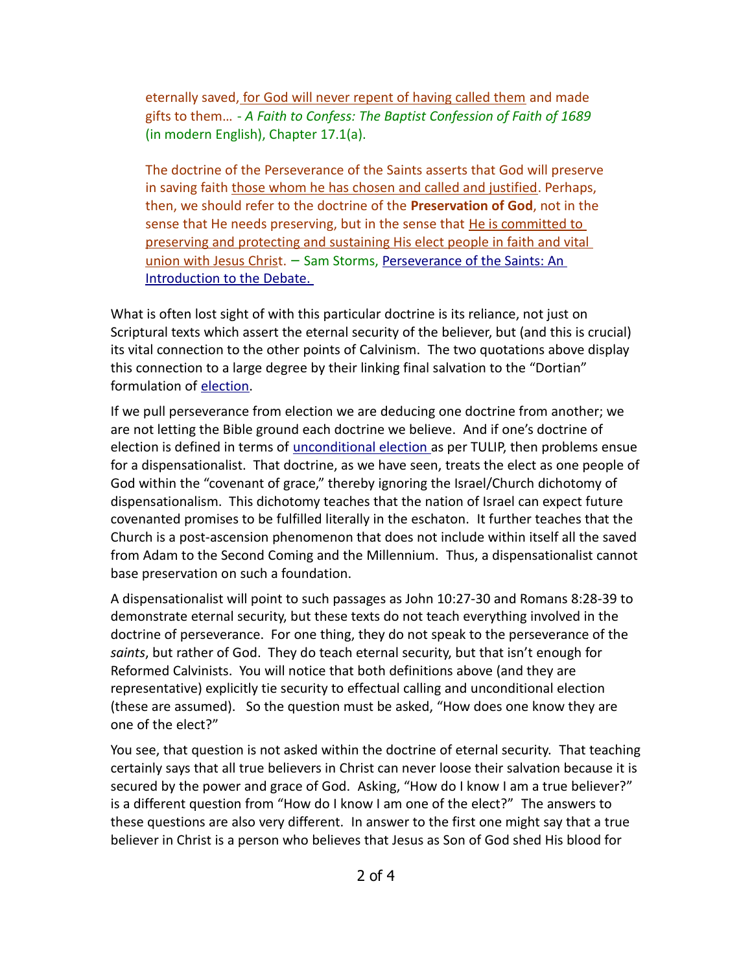eternally saved, for God will never repent of having called them and made gifts to them… - *A Faith to Confess: The Baptist Confession of Faith of 1689* (in modern English), Chapter 17.1(a).

The doctrine of the Perseverance of the Saints asserts that God will preserve in saving faith those whom he has chosen and called and justified. Perhaps, then, we should refer to the doctrine of the **Preservation of God**, not in the sense that He needs preserving, but in the sense that He is committed to preserving and protecting and sustaining His elect people in faith and vital union with Jesus Christ. – Sam Storms, [Perseverance of the Saints: An](http://www.enjoyinggodministries.com/article/perseverance-of-the-saints-an-introduction-to-the-debate/) [Introduction to the Debate.](http://www.enjoyinggodministries.com/article/perseverance-of-the-saints-an-introduction-to-the-debate/) 

What is often lost sight of with this particular doctrine is its reliance, not just on Scriptural texts which assert the eternal security of the believer, but (and this is crucial) its vital connection to the other points of Calvinism. The two quotations above display this connection to a large degree by their linking final salvation to the "Dortian" formulation of [election.](http://drreluctant.wordpress.com/2011/03/31/dispensationalism-and-tulip-unconditional-election/)

If we pull perseverance from election we are deducing one doctrine from another; we are not letting the Bible ground each doctrine we believe. And if one's doctrine of election is defined in terms of [unconditional election](http://www.spiritandtruth.org/teaching/documents/articles/index.htm#65) as per TULIP, then problems ensue for a dispensationalist. That doctrine, as we have seen, treats the elect as one people of God within the "covenant of grace," thereby ignoring the Israel/Church dichotomy of dispensationalism. This dichotomy teaches that the nation of Israel can expect future covenanted promises to be fulfilled literally in the eschaton. It further teaches that the Church is a post-ascension phenomenon that does not include within itself all the saved from Adam to the Second Coming and the Millennium. Thus, a dispensationalist cannot base preservation on such a foundation.

A dispensationalist will point to such passages as John 10:27-30 and Romans 8:28-39 to demonstrate eternal security, but these texts do not teach everything involved in the doctrine of perseverance. For one thing, they do not speak to the perseverance of the *saints*, but rather of God. They do teach eternal security, but that isn't enough for Reformed Calvinists. You will notice that both definitions above (and they are representative) explicitly tie security to effectual calling and unconditional election (these are assumed). So the question must be asked, "How does one know they are one of the elect?"

You see, that question is not asked within the doctrine of eternal security. That teaching certainly says that all true believers in Christ can never loose their salvation because it is secured by the power and grace of God. Asking, "How do I know I am a true believer?" is a different question from "How do I know I am one of the elect?" The answers to these questions are also very different. In answer to the first one might say that a true believer in Christ is a person who believes that Jesus as Son of God shed His blood for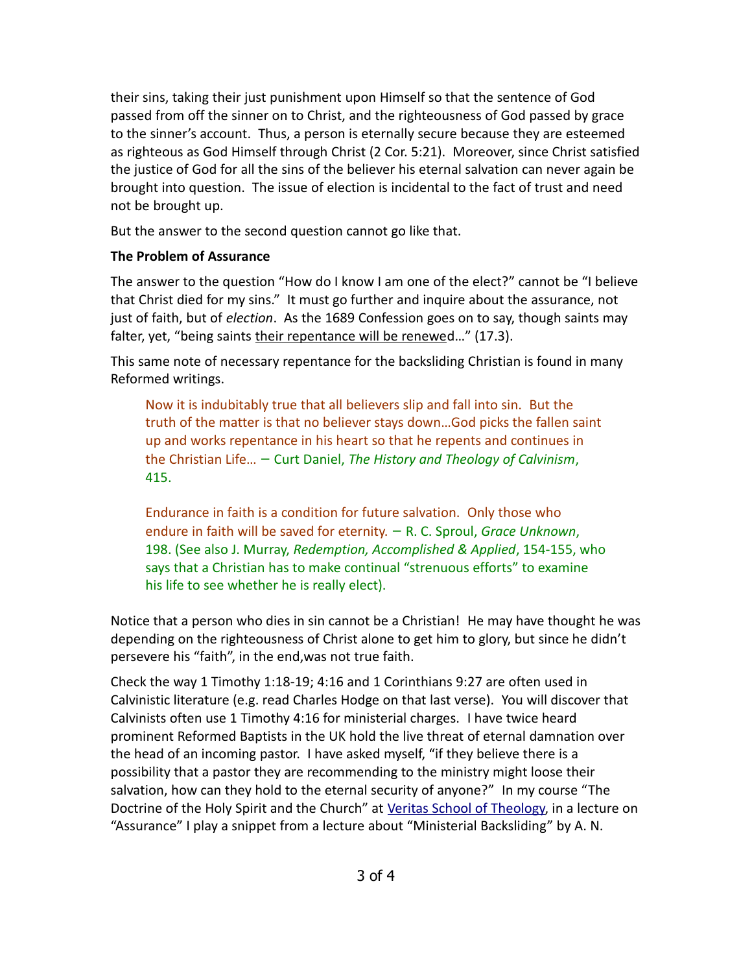their sins, taking their just punishment upon Himself so that the sentence of God passed from off the sinner on to Christ, and the righteousness of God passed by grace to the sinner's account. Thus, a person is eternally secure because they are esteemed as righteous as God Himself through Christ (2 Cor. 5:21). Moreover, since Christ satisfied the justice of God for all the sins of the believer his eternal salvation can never again be brought into question. The issue of election is incidental to the fact of trust and need not be brought up.

But the answer to the second question cannot go like that.

### **The Problem of Assurance**

The answer to the question "How do I know I am one of the elect?" cannot be "I believe that Christ died for my sins." It must go further and inquire about the assurance, not just of faith, but of *election*. As the 1689 Confession goes on to say, though saints may falter, yet, "being saints their repentance will be renewed..." (17.3).

This same note of necessary repentance for the backsliding Christian is found in many Reformed writings.

Now it is indubitably true that all believers slip and fall into sin. But the truth of the matter is that no believer stays down…God picks the fallen saint up and works repentance in his heart so that he repents and continues in the Christian Life… – Curt Daniel, *The History and Theology of Calvinism*, 415.

Endurance in faith is a condition for future salvation. Only those who endure in faith will be saved for eternity. – R. C. Sproul, *Grace Unknown*, 198. (See also J. Murray, *Redemption, Accomplished & Applied*, 154-155, who says that a Christian has to make continual "strenuous efforts" to examine his life to see whether he is really elect).

Notice that a person who dies in sin cannot be a Christian! He may have thought he was depending on the righteousness of Christ alone to get him to glory, but since he didn't persevere his "faith", in the end,was not true faith.

Check the way 1 Timothy 1:18-19; 4:16 and 1 Corinthians 9:27 are often used in Calvinistic literature (e.g. read Charles Hodge on that last verse). You will discover that Calvinists often use 1 Timothy 4:16 for ministerial charges. I have twice heard prominent Reformed Baptists in the UK hold the live threat of eternal damnation over the head of an incoming pastor. I have asked myself, "if they believe there is a possibility that a pastor they are recommending to the ministry might loose their salvation, how can they hold to the eternal security of anyone?" In my course "The Doctrine of the Holy Spirit and the Church" at [Veritas School of Theology,](http://www.inquiroveritas.com/) in a lecture on "Assurance" I play a snippet from a lecture about "Ministerial Backsliding" by A. N.